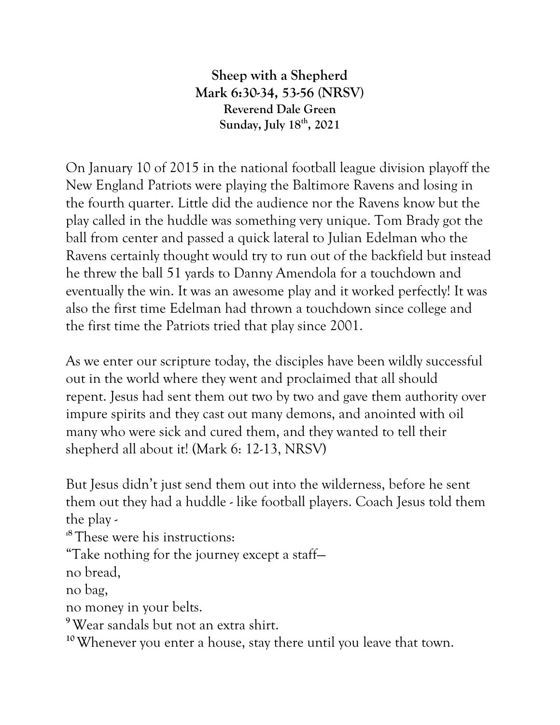**Sheep with a Shepherd Mark 6:30-34, 53-56 (NRSV) Reverend Dale Green Sunday, July 18th, 2021**

On January 10 of 2015 in the national football league division playoff the New England Patriots were playing the Baltimore Ravens and losing in the fourth quarter. Little did the audience nor the Ravens know but the play called in the huddle was something very unique. Tom Brady got the ball from center and passed a quick lateral to Julian Edelman who the Ravens certainly thought would try to run out of the backfield but instead he threw the ball 51 yards to Danny Amendola for a touchdown and eventually the win. It was an awesome play and it worked perfectly! It was also the first time Edelman had thrown a touchdown since college and the first time the Patriots tried that play since 2001.

As we enter our scripture today, the disciples have been wildly successful out in the world where they went and proclaimed that all should repent. Jesus had sent them out two by two and gave them authority over impure spirits and they cast out many demons, and anointed with oil many who were sick and cured them, and they wanted to tell their shepherd all about it! (Mark 6: 12-13, NRSV)

But Jesus didn't just send them out into the wilderness, before he sent them out they had a huddle - like football players. Coach Jesus told them the play -

**:8** These were his instructions:

"Take nothing for the journey except a staff—

no bread,

no bag,

no money in your belts.

**<sup>9</sup>**Wear sandals but not an extra shirt.

**10**Whenever you enter a house, stay there until you leave that town.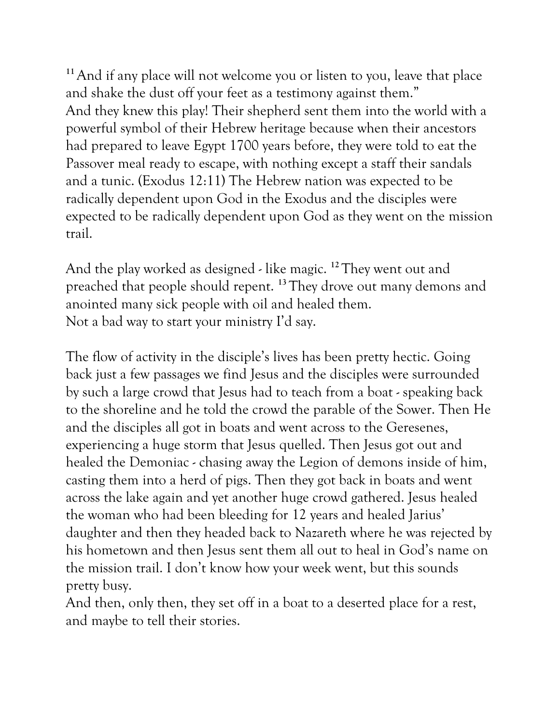**<sup>11</sup>**And if any place will not welcome you or listen to you, leave that place and shake the dust off your feet as a testimony against them." And they knew this play! Their shepherd sent them into the world with a powerful symbol of their Hebrew heritage because when their ancestors had prepared to leave Egypt 1700 years before, they were told to eat the Passover meal ready to escape, with nothing except a staff their sandals and a tunic. (Exodus 12:11) The Hebrew nation was expected to be radically dependent upon God in the Exodus and the disciples were expected to be radically dependent upon God as they went on the mission trail.

And the play worked as designed - like magic. **<sup>12</sup>** They went out and preached that people should repent. **<sup>13</sup>** They drove out many demons and anointed many sick people with oil and healed them. Not a bad way to start your ministry I'd say.

The flow of activity in the disciple's lives has been pretty hectic. Going back just a few passages we find Jesus and the disciples were surrounded by such a large crowd that Jesus had to teach from a boat - speaking back to the shoreline and he told the crowd the parable of the Sower. Then He and the disciples all got in boats and went across to the Geresenes, experiencing a huge storm that Jesus quelled. Then Jesus got out and healed the Demoniac - chasing away the Legion of demons inside of him, casting them into a herd of pigs. Then they got back in boats and went across the lake again and yet another huge crowd gathered. Jesus healed the woman who had been bleeding for 12 years and healed Jarius' daughter and then they headed back to Nazareth where he was rejected by his hometown and then Jesus sent them all out to heal in God's name on the mission trail. I don't know how your week went, but this sounds pretty busy.

And then, only then, they set off in a boat to a deserted place for a rest, and maybe to tell their stories.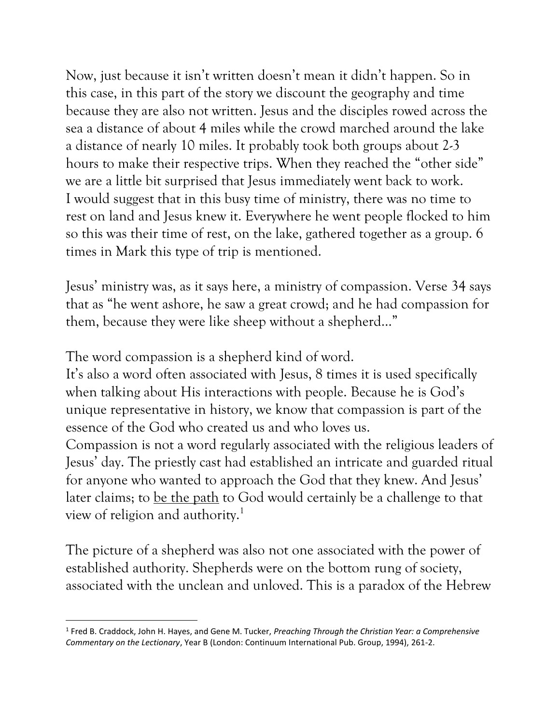Now, just because it isn't written doesn't mean it didn't happen. So in this case, in this part of the story we discount the geography and time because they are also not written. Jesus and the disciples rowed across the sea a distance of about 4 miles while the crowd marched around the lake a distance of nearly 10 miles. It probably took both groups about 2-3 hours to make their respective trips. When they reached the "other side" we are a little bit surprised that Jesus immediately went back to work. I would suggest that in this busy time of ministry, there was no time to rest on land and Jesus knew it. Everywhere he went people flocked to him so this was their time of rest, on the lake, gathered together as a group. 6 times in Mark this type of trip is mentioned.

Jesus' ministry was, as it says here, a ministry of compassion. Verse 34 says that as "he went ashore, he saw a great crowd; and he had compassion for them, because they were like sheep without a shepherd…"

The word compassion is a shepherd kind of word.

It's also a word often associated with Jesus, 8 times it is used specifically when talking about His interactions with people. Because he is God's unique representative in history, we know that compassion is part of the essence of the God who created us and who loves us.

Compassion is not a word regularly associated with the religious leaders of Jesus' day. The priestly cast had established an intricate and guarded ritual for anyone who wanted to approach the God that they knew. And Jesus' later claims; to be the path to God would certainly be a challenge to that view of religion and authority.<sup>1</sup>

The picture of a shepherd was also not one associated with the power of established authority. Shepherds were on the bottom rung of society, associated with the unclean and unloved. This is a paradox of the Hebrew

<sup>1</sup> Fred B. Craddock, John H. Hayes, and Gene M. Tucker, *Preaching Through the Christian Year: a Comprehensive Commentary on the Lectionary*, Year B (London: Continuum International Pub. Group, 1994), 261-2.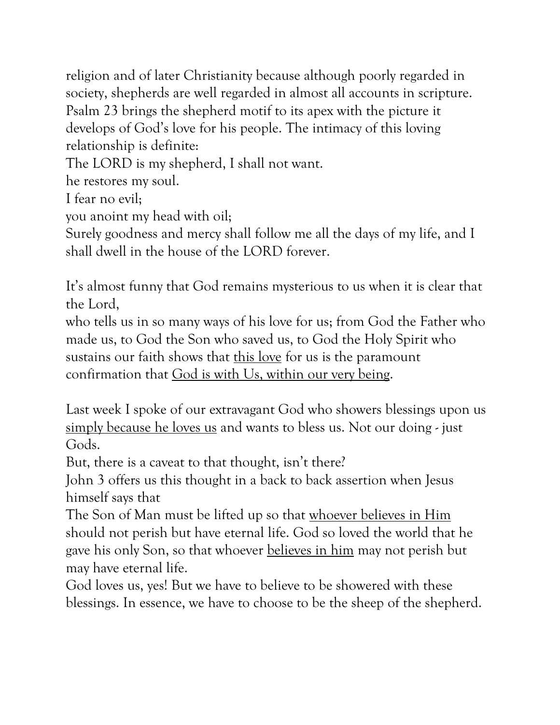religion and of later Christianity because although poorly regarded in society, shepherds are well regarded in almost all accounts in scripture. Psalm 23 brings the shepherd motif to its apex with the picture it develops of God's love for his people. The intimacy of this loving relationship is definite:

The LORD is my shepherd, I shall not want.

he restores my soul.

I fear no evil;

you anoint my head with oil;

Surely goodness and mercy shall follow me all the days of my life, and I shall dwell in the house of the LORD forever.

It's almost funny that God remains mysterious to us when it is clear that the Lord,

who tells us in so many ways of his love for us; from God the Father who made us, to God the Son who saved us, to God the Holy Spirit who sustains our faith shows that this love for us is the paramount confirmation that God is with Us, within our very being.

Last week I spoke of our extravagant God who showers blessings upon us simply because he loves us and wants to bless us. Not our doing - just Gods.

But, there is a caveat to that thought, isn't there?

John 3 offers us this thought in a back to back assertion when Jesus himself says that

The Son of Man must be lifted up so that whoever believes in Him should not perish but have eternal life. God so loved the world that he gave his only Son, so that whoever believes in him may not perish but may have eternal life.

God loves us, yes! But we have to believe to be showered with these blessings. In essence, we have to choose to be the sheep of the shepherd.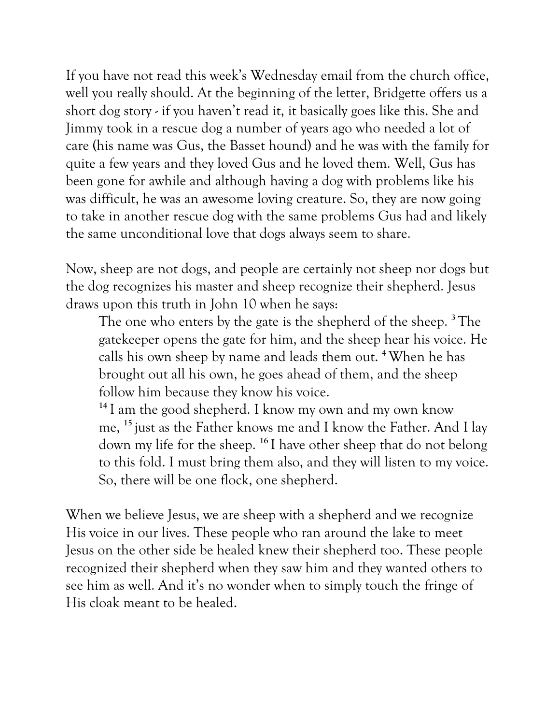If you have not read this week's Wednesday email from the church office, well you really should. At the beginning of the letter, Bridgette offers us a short dog story - if you haven't read it, it basically goes like this. She and Jimmy took in a rescue dog a number of years ago who needed a lot of care (his name was Gus, the Basset hound) and he was with the family for quite a few years and they loved Gus and he loved them. Well, Gus has been gone for awhile and although having a dog with problems like his was difficult, he was an awesome loving creature. So, they are now going to take in another rescue dog with the same problems Gus had and likely the same unconditional love that dogs always seem to share.

Now, sheep are not dogs, and people are certainly not sheep nor dogs but the dog recognizes his master and sheep recognize their shepherd. Jesus draws upon this truth in John 10 when he says:

The one who enters by the gate is the shepherd of the sheep. **<sup>3</sup>** The gatekeeper opens the gate for him, and the sheep hear his voice. He calls his own sheep by name and leads them out. **<sup>4</sup>**When he has brought out all his own, he goes ahead of them, and the sheep follow him because they know his voice.

**<sup>14</sup>** I am the good shepherd. I know my own and my own know me, **<sup>15</sup>** just as the Father knows me and I know the Father. And I lay down my life for the sheep. **<sup>16</sup>** I have other sheep that do not belong to this fold. I must bring them also, and they will listen to my voice. So, there will be one flock, one shepherd.

When we believe Jesus, we are sheep with a shepherd and we recognize His voice in our lives. These people who ran around the lake to meet Jesus on the other side be healed knew their shepherd too. These people recognized their shepherd when they saw him and they wanted others to see him as well. And it's no wonder when to simply touch the fringe of His cloak meant to be healed.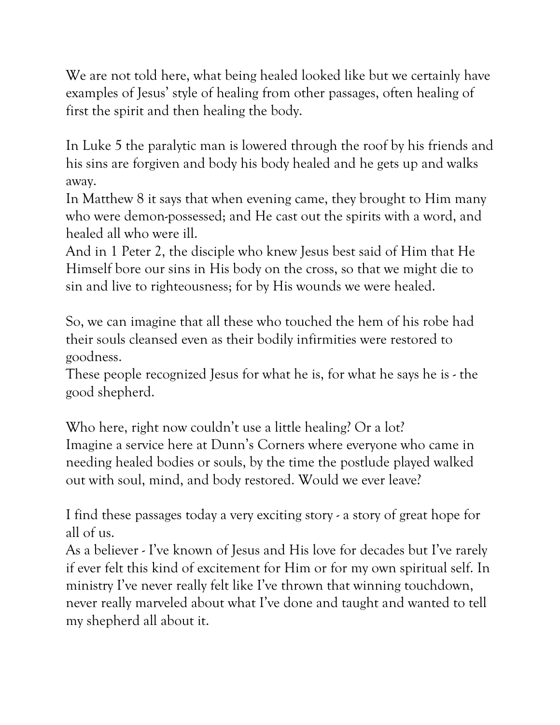We are not told here, what being healed looked like but we certainly have examples of Jesus' style of healing from other passages, often healing of first the spirit and then healing the body.

In Luke 5 the paralytic man is lowered through the roof by his friends and his sins are forgiven and body his body healed and he gets up and walks away.

In Matthew 8 it says that when evening came, they brought to Him many who were demon-possessed; and He cast out the spirits with a word, and healed all who were ill.

And in 1 Peter 2, the disciple who knew Jesus best said of Him that He Himself bore our sins in His body on the cross, so that we might die to sin and live to righteousness; for by His wounds we were healed.

So, we can imagine that all these who touched the hem of his robe had their souls cleansed even as their bodily infirmities were restored to goodness.

These people recognized Jesus for what he is, for what he says he is - the good shepherd.

Who here, right now couldn't use a little healing? Or a lot? Imagine a service here at Dunn's Corners where everyone who came in needing healed bodies or souls, by the time the postlude played walked out with soul, mind, and body restored. Would we ever leave?

I find these passages today a very exciting story - a story of great hope for all of us.

As a believer - I've known of Jesus and His love for decades but I've rarely if ever felt this kind of excitement for Him or for my own spiritual self. In ministry I've never really felt like I've thrown that winning touchdown, never really marveled about what I've done and taught and wanted to tell my shepherd all about it.